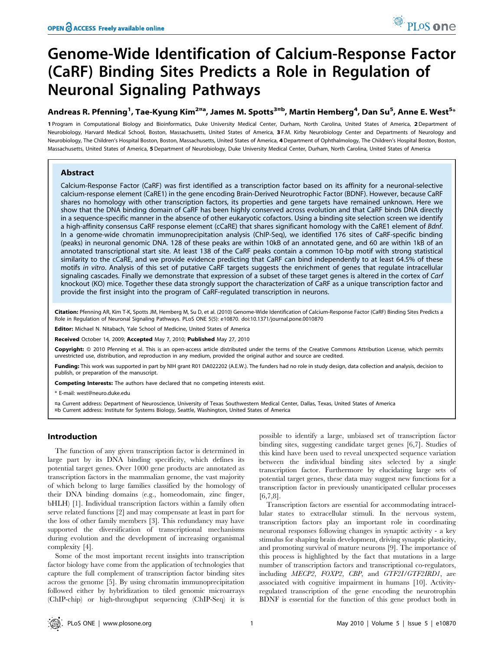# Genome-Wide Identification of Calcium-Response Factor (CaRF) Binding Sites Predicts a Role in Regulation of Neuronal Signaling Pathways

## Andreas R. Pfenning<sup>1</sup>, Tae-Kyung Kim<sup>2¤a</sup>, James M. Spotts<sup>3¤b</sup>, Martin Hemberg<sup>4</sup>, Dan Su<sup>5</sup>, Anne E. West<sup>5</sup>\*

1 Program in Computational Biology and Bioinformatics, Duke University Medical Center, Durham, North Carolina, United States of America, 2 Department of Neurobiology, Harvard Medical School, Boston, Massachusetts, United States of America, 3 F.M. Kirby Neurobiology Center and Departments of Neurology and Neurobiology, The Children's Hospital Boston, Boston, Massachusetts, United States of America, 4 Department of Ophthalmology, The Children's Hospital Boston, Boston, Massachusetts, United States of America, 5 Department of Neurobiology, Duke University Medical Center, Durham, North Carolina, United States of America

## Abstract

Calcium-Response Factor (CaRF) was first identified as a transcription factor based on its affinity for a neuronal-selective calcium-response element (CaRE1) in the gene encoding Brain-Derived Neurotrophic Factor (BDNF). However, because CaRF shares no homology with other transcription factors, its properties and gene targets have remained unknown. Here we show that the DNA binding domain of CaRF has been highly conserved across evolution and that CaRF binds DNA directly in a sequence-specific manner in the absence of other eukaryotic cofactors. Using a binding site selection screen we identify a high-affinity consensus CaRF response element (cCaRE) that shares significant homology with the CaRE1 element of Bdnf. In a genome-wide chromatin immunoprecipitation analysis (ChIP-Seq), we identified 176 sites of CaRF-specific binding (peaks) in neuronal genomic DNA. 128 of these peaks are within 10kB of an annotated gene, and 60 are within 1kB of an annotated transcriptional start site. At least 138 of the CaRF peaks contain a common 10-bp motif with strong statistical similarity to the cCaRE, and we provide evidence predicting that CaRF can bind independently to at least 64.5% of these motifs in vitro. Analysis of this set of putative CaRF targets suggests the enrichment of genes that regulate intracellular signaling cascades. Finally we demonstrate that expression of a subset of these target genes is altered in the cortex of Carf knockout (KO) mice. Together these data strongly support the characterization of CaRF as a unique transcription factor and provide the first insight into the program of CaRF-regulated transcription in neurons.

Citation: Pfenning AR, Kim T-K, Spotts JM, Hemberg M, Su D, et al. (2010) Genome-Wide Identification of Calcium-Response Factor (CaRF) Binding Sites Predicts a Role in Regulation of Neuronal Signaling Pathways. PLoS ONE 5(5): e10870. doi:10.1371/journal.pone.0010870

Editor: Michael N. Nitabach, Yale School of Medicine, United States of America

Received October 14, 2009; Accepted May 7, 2010; Published May 27, 2010

Copyright: © 2010 Pfenning et al. This is an open-access article distributed under the terms of the Creative Commons Attribution License, which permits unrestricted use, distribution, and reproduction in any medium, provided the original author and source are credited.

Funding: This work was supported in part by NIH grant R01 DA022202 (A.E.W.). The funders had no role in study design, data collection and analysis, decision to publish, or preparation of the manuscript.

Competing Interests: The authors have declared that no competing interests exist.

\* E-mail: west@neuro.duke.edu

¤a Current address: Department of Neuroscience, University of Texas Southwestern Medical Center, Dallas, Texas, United States of America ¤b Current address: Institute for Systems Biology, Seattle, Washington, United States of America

## Introduction

The function of any given transcription factor is determined in large part by its DNA binding specificity, which defines its potential target genes. Over 1000 gene products are annotated as transcription factors in the mammalian genome, the vast majority of which belong to large families classified by the homology of their DNA binding domains (e.g., homeodomain, zinc finger, bHLH) [1]. Individual transcription factors within a family often serve related functions [2] and may compensate at least in part for the loss of other family members [3]. This redundancy may have supported the diversification of transcriptional mechanisms during evolution and the development of increasing organismal complexity [4].

Some of the most important recent insights into transcription factor biology have come from the application of technologies that capture the full complement of transcription factor binding sites across the genome [5]. By using chromatin immunoprecipitation followed either by hybridization to tiled genomic microarrays (ChIP-chip) or high-throughput sequencing (ChIP-Seq) it is

possible to identify a large, unbiased set of transcription factor binding sites, suggesting candidate target genes [6,7]. Studies of this kind have been used to reveal unexpected sequence variation between the individual binding sites selected by a single transcription factor. Furthermore by elucidating large sets of potential target genes, these data may suggest new functions for a transcription factor in previously unanticipated cellular processes [6,7,8].

Transcription factors are essential for accommodating intracellular states to extracellular stimuli. In the nervous system, transcription factors play an important role in coordinating neuronal responses following changes in synaptic activity - a key stimulus for shaping brain development, driving synaptic plasticity, and promoting survival of mature neurons [9]. The importance of this process is highlighted by the fact that mutations in a large number of transcription factors and transcriptional co-regulators, including MECP2, FOXP2, CBP, and GTF2I/GTF2IRD1, are associated with cognitive impairment in humans [10]. Activityregulated transcription of the gene encoding the neurotrophin BDNF is essential for the function of this gene product both in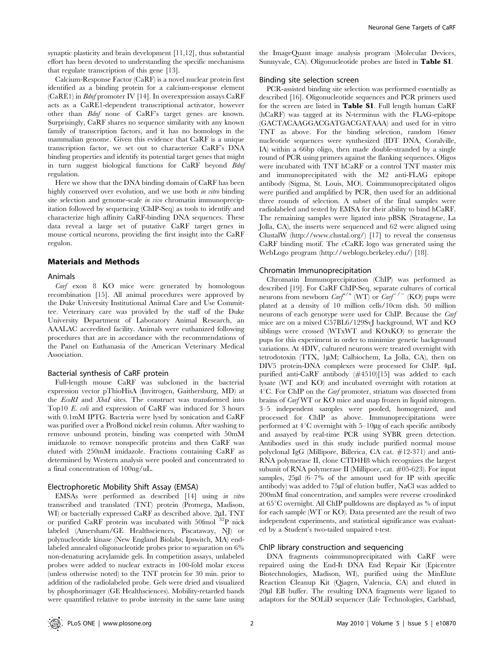synaptic plasticity and brain development [11,12], thus substantial effort has been devoted to understanding the specific mechanisms that regulate transcription of this gene [13].

Calcium-Response Factor (CaRF) is a novel nuclear protein first identified as a binding protein for a calcium-response element (CaRE1) in Bdnf promoter IV [14]. In overexpression assays CaRF acts as a CaRE1-dependent transcriptional activator, however other than Bdnf none of CaRF's target genes are known. Surprisingly, CaRF shares no sequence similarity with any known family of transcription factors, and it has no homologs in the mammalian genome. Given this evidence that CaRF is a unique transcription factor, we set out to characterize CaRF's DNA binding properties and identify its potential target genes that might in turn suggest biological functions for CaRF beyond Bdnf regulation.

Here we show that the DNA binding domain of CaRF has been highly conserved over evolution, and we use both in vitro binding site selection and genome-scale in vivo chromatin immunoprecipitation followed by sequencing (ChIP-Seq) as tools to identify and characterize high affinity CaRF-binding DNA sequences. These data reveal a large set of putative CaRF target genes in mouse cortical neurons, providing the first insight into the CaRF regulon.

## Materials and Methods

#### Animals

Carf exon 8 KO mice were generated by homologous recombination [15]. All animal procedures were approved by the Duke University Institutional Animal Care and Use Committee. Veterinary care was provided by the staff of the Duke University Department of Laboratory Animal Research, an AAALAC accredited facility. Animals were euthanized following procedures that are in accordance with the recommendations of the Panel on Euthanasia of the American Veterinary Medical Association.

## Bacterial synthesis of CaRF protein

Full-length mouse CaRF was subcloned in the bacterial expression vector pThioHisA (Invitrogen, Gaithersburg, MD) at the EcoRI and XbaI sites. The construct was transformed into Top10 E. coli and expression of CaRF was induced for 3 hours with 0.1mM IPTG. Bacteria were lysed by sonication and CaRF was purified over a ProBond nickel resin column. After washing to remove unbound protein, binding was competed with 50mM imidazole to remove nonspecific proteins and then CaRF was eluted with 250mM imidazole. Fractions containing CaRF as determined by Western analysis were pooled and concentrated to a final concentration of 100ng/uL.

#### Electrophoretic Mobility Shift Assay (EMSA)

EMSAs were performed as described [14] using in vitro transcribed and translated (TNT) protein (Promega, Madison, WI) or bacterially expressed CaRF as described above. 2µL TNT or purified CaRF protein was incubated with 50fmol <sup>32</sup>P nick labeled (Amersham/GE Healthsciences, Piscataway, NJ) or polynucleotide kinase (New England Biolabs; Ipswitch, MA) endlabeled annealed oligonucleotide probes prior to separation on 6% non-denaturing acrylamide gels. In competition assays, unlabeled probes were added to nuclear extracts in 100-fold molar excess (unless otherwise noted) to the TNT protein for 30 min. prior to addition of the radiolabeled probe. Gels were dried and visualized by phosphorimager (GE Healthsciences). Mobility-retarded bands were quantified relative to probe intensity in the same lane using the ImageQuant image analysis program (Molecular Devices, Sunnyvale, CA). Oligonucleotide probes are listed in Table S1.

#### Binding site selection screen

PCR-assisted binding site selection was performed essentially as described [16]. Oligonucleotide sequences and PCR primers used for the screen are listed in Table S1. Full length human CaRF (hCaRF) was tagged at its N-terminus with the FLAG-epitope (GACTACAAGGACGATGACGATAAA) and used for in vitro TNT as above. For the binding selection, random 16mer nucleotide sequences were synthesized (IDT DNA, Coralville, IA) within a 66bp oligo, then made double-stranded by a single round of PCR using primers against the flanking sequences. Oligos were incubated with TNT hCaRF or a control TNT master mix and immunoprecipitated with the M2 anti-FLAG epitope antibody (Sigma, St. Louis, MO). Coimmunoprecipitated oligos were purified and amplified by PCR, then used for an additional three rounds of selection. A subset of the final samples were radiolabeled and tested by EMSA for their ability to bind hCaRF. The remaining samples were ligated into pBSK (Stratagene, La Jolla, CA), the inserts were sequenced and 62 were aligned using ClustalW (http://www.clustal.org/) [17] to reveal the consensus CaRF binding motif. The cCaRE logo was generated using the WebLogo program (http://weblogo.berkeley.edu/) [18].

#### Chromatin Immunoprecipitation

Chromatin Immunoprecipitation (ChIP) was performed as described [19]. For CaRF ChIP-Seq, separate cultures of cortical neurons from newborn  $\text{Carf}^{+/+}$  (WT) or  $\text{Carf}^{-/-}$  (KO) pups were plated at a density of 10 million cells/10cm dish. 50 million neurons of each genotype were used for ChIP. Because the Carf mice are on a mixed C57BL6/129SvJ background, WT and KO siblings were crossed (WTxWT and KOxKO) to generate the pups for this experiment in order to minimize genetic background variations. At 4DIV, cultured neurons were treated overnight with tetrodotoxin (TTX, 1µM; Calbiochem, La Jolla, CA), then on DIV5 protein-DNA complexes were processed for ChIP.  $4\mu L$ purified anti-CaRF antibody (#4510)[15] was added to each lysate (WT and KO) and incubated overnight with rotation at  $4^{\circ}$ C. For ChIP on the *Carf* promoter, striatum was dissected from brains of Carf WT or KO mice and snap frozen in liquid nitrogen. 3–5 independent samples were pooled, homogenized, and processed for ChIP as above. Immunoprecipitations were performed at  $4^{\circ}$ C overnight with  $5-10\mu$ g of each specific antibody and assayed by real-time PCR using SYBR green detection. Antibodies used in this study include purified normal mouse polyclonal IgG (Millipore, Billerica, CA cat. #12-371) and anti-RNA polymerase II, clone CTD4H8 which recognizes the largest subunit of RNA polymerase II (Millipore, cat. #05-623). For input samples,  $25\mu$ l (6–7% of the amount used for IP with specific antibody) was added to 75µl of elution buffer, NaCl was added to 200mM final concentration, and samples were reverse crosslinked at  $65^{\circ}$ C overnight. All ChIP pulldowns are displayed as % of input for each sample (WT or KO). Data presented are the result of two independent experiments, and statistical significance was evaluated by a Student's two-tailed unpaired t-test.

#### ChIP library construction and sequencing

DNA fragments coimmunoprecipitated with CaRF were repaired using the End-It DNA End Repair Kit (Epicentre Biotechnologies, Madison, WI), purified using the MinElute Reaction Cleanup Kit (Qiagen, Valencia, CA) and eluted in 20µl EB buffer. The resulting DNA fragments were ligated to adaptors for the SOLiD sequencer (Life Technologies, Carlsbad,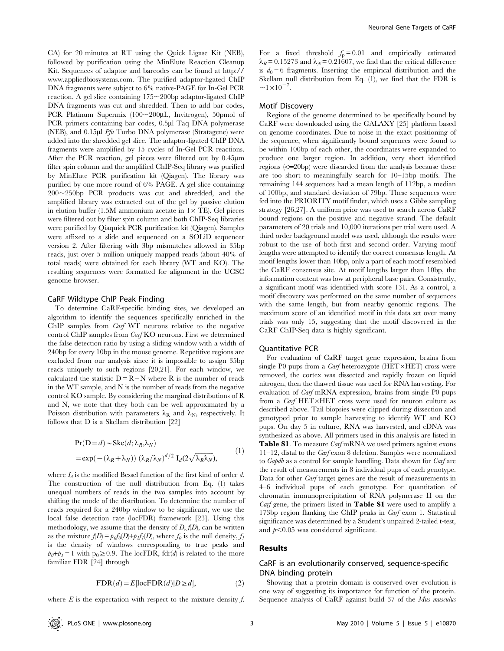CA) for 20 minutes at RT using the Quick Ligase Kit (NEB), followed by purification using the MinElute Reaction Cleanup Kit. Sequences of adaptor and barcodes can be found at http:// www.appliedbiosystems.com. The purified adaptor-ligated ChIP DNA fragments were subject to 6% native-PAGE for In-Gel PCR reaction. A gel slice containing  $175 \sim 200$ bp adaptor-ligated ChIP DNA fragments was cut and shredded. Then to add bar codes, PCR Platinum Supermix  $(100~200\mu L, Invitrogen)$ , 50pmol of PCR primers containing bar codes, 0.5µl Taq DNA polymerase (NEB), and  $0.15$ µl *Pfu* Turbo DNA polymerase (Stratagene) were added into the shredded gel slice. The adaptor-ligated ChIP DNA fragments were amplified by 15 cycles of In-Gel PCR reactions. After the PCR reaction, gel pieces were filtered out by 0.45mm filter spin column and the amplified ChIP-Seq library was purified by MinElute PCR purification kit (Qiagen). The library was purified by one more round of 6% PAGE. A gel slice containing  $200 - 250$ bp PCR products was cut and shredded, and the amplified library was extracted out of the gel by passive elution in elution buffer (1.5M ammonium acetate in  $1 \times TE$ ). Gel pieces were filtered out by filter spin column and both ChIP-Seq libraries were purified by Qiaquick PCR purification kit (Qiagen). Samples were affixed to a slide and sequenced on a SOLiD sequencer version 2. After filtering with 3bp mismatches allowed in 35bp reads, just over 5 million uniquely mapped reads (about 40% of total reads) were obtained for each library (WT and KO). The resulting sequences were formatted for alignment in the UCSC genome browser.

#### CaRF Wildtype ChIP Peak Finding

To determine CaRF-specific binding sites, we developed an algorithm to identify the sequences specifically enriched in the ChIP samples from Carf WT neurons relative to the negative control ChIP samples from Carf KO neurons. First we determined the false detection ratio by using a sliding window with a width of 240bp for every 10bp in the mouse genome. Repetitive regions are excluded from our analysis since it is impossible to assign 35bp reads uniquely to such regions [20,21]. For each window, we calculated the statistic  $D = R-N$  where R is the number of reads in the WT sample, and N is the number of reads from the negative control KO sample. By considering the marginal distributions of R and N, we note that they both can be well approximated by a Poisson distribution with parameters  $\lambda_R$  and  $\lambda_N$ , respectively. It follows that D is a Skellam distribution [22]

$$
Pr(D = d) \sim Ske(d; \lambda_R, \lambda_N)
$$
  
= exp(-( $\lambda_R + \lambda_N$ )) ( $\lambda_R/\lambda_N$ )<sup>d/2</sup> I<sub>d</sub>(2 $\sqrt{\lambda_R \lambda_N}$ ), (1)

where  $I_d$  is the modified Bessel function of the first kind of order d. The construction of the null distribution from Eq. (1) takes unequal numbers of reads in the two samples into account by shifting the mode of the distribution. To determine the number of reads required for a 240bp window to be significant, we use the local false detection rate (locFDR) framework [23]. Using this methodology, we assume that the density of  $D$ ,  $f(D)$ , can be written as the mixture  $f(D) = p_0 f_0(D) + p_1 f_1(D)$ , where  $f_0$  is the null density,  $f_1$ is the density of windows corresponding to true peaks and  $p_0+p_1=1$  with  $p_0\geq 0.9$ . The locFDR, fdr(d) is related to the more familiar FDR [24] through

$$
FDR(d) = E[locFDR(d)|D \ge d],
$$
\n(2)

where  $E$  is the expectation with respect to the mixture density  $f$ .

For a fixed threshold  $f<sub>p</sub> = 0.01$  and empirically estimated  $\lambda_R$  = 0.15273 and  $\lambda_N$  = 0.21607, we find that the critical difference is  $d_0 = 6$  fragments. Inserting the empirical distribution and the Skellam null distribution from Eq. (1), we find that the FDR is  $\sim1\times10^{-7}$ .

#### Motif Discovery

Regions of the genome determined to be specifically bound by CaRF were downloaded using the GALAXY [25] platform based on genome coordinates. Due to noise in the exact positioning of the sequence, when significantly bound sequences were found to be within 100bp of each other, the coordinates were expanded to produce one larger region. In addition, very short identified regions  $\leq$ =20bp) were discarded from the analysis because these are too short to meaningfully search for 10–15bp motifs. The remaining 144 sequences had a mean length of 112bp, a median of 100bp, and standard deviation of 79bp. These sequences were fed into the PRIORITY motif finder, which uses a Gibbs sampling strategy [26,27]. A uniform prior was used to search across CaRF bound regions on the positive and negative strand. The default parameters of 20 trials and 10,000 iterations per trial were used. A third order background model was used, although the results were robust to the use of both first and second order. Varying motif lengths were attempted to identify the correct consensus length. At motif lengths lower than 10bp, only a part of each motif resembled the CaRF consensus site. At motif lengths larger than 10bp, the information content was low at peripheral base pairs. Consistently, a significant motif was identified with score 131. As a control, a motif discovery was performed on the same number of sequences with the same length, but from nearby genomic regions. The maximum score of an identified motif in this data set over many trials was only 15, suggesting that the motif discovered in the CaRF ChIP-Seq data is highly significant.

#### Quantitative PCR

For evaluation of CaRF target gene expression, brains from single P0 pups from a *Carf* heterozygote (HET $\times$ HET) cross were removed, the cortex was dissected and rapidly frozen on liquid nitrogen, then the thawed tissue was used for RNA harvesting. For evaluation of Carf mRNA expression, brains from single P0 pups from a  $C\text{arf HET} \times \text{HET}$  cross were used for neuron culture as described above. Tail biopsies were clipped during dissection and genotyped prior to sample harvesting to identify WT and KO pups. On day 5 in culture, RNA was harvested, and cDNA was synthesized as above. All primers used in this analysis are listed in Table S1. To measure *Carf* mRNA we used primers against exons 11–12, distal to the Carf exon 8 deletion. Samples were normalized to Gapdh as a control for sample handling. Data shown for Carf are the result of measurements in 8 individual pups of each genotype. Data for other Carf target genes are the result of measurements in 4–6 individual pups of each genotype. For quantitation of chromatin immunoprecipitation of RNA polymerase II on the *Carf* gene, the primers listed in **Table S1** were used to amplify a 173bp region flanking the ChIP peaks in Carf exon 1. Statistical significance was determined by a Student's unpaired 2-tailed t-test, and  $p<0.05$  was considered significant.

#### Results

## CaRF is an evolutionarily conserved, sequence-specific DNA binding protein

Showing that a protein domain is conserved over evolution is one way of suggesting its importance for function of the protein. Sequence analysis of CaRF against build 37 of the Mus musculus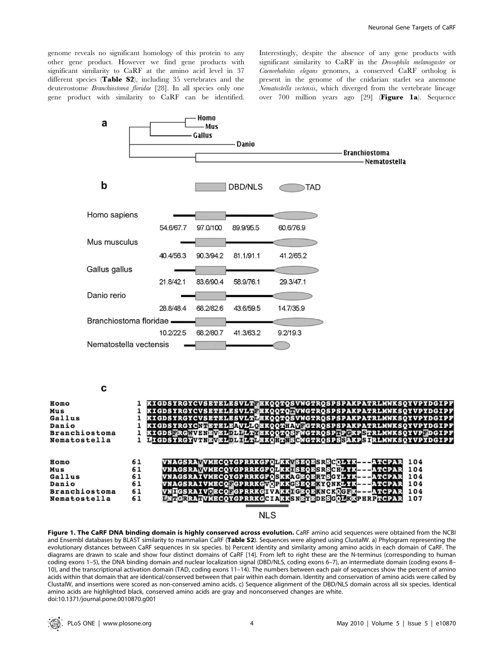genome reveals no significant homology of this protein to any other gene product. However we find gene products with significant similarity to CaRF at the amino acid level in 37 different species (Table S2), including 35 vertebrates and the deuterostome Branchiostoma floridae [28]. In all species only one gene product with similarity to CaRF can be identified. Interestingly, despite the absence of any gene products with significant similarity to CaRF in the Drosophila melanogaster or Caenorhabitas elegans genomes, a conserved CaRF ortholog is present in the genome of the cnidarian starlet sea anemone Nematostella vectensis, which diverged from the vertebrate lineage over 700 million years ago [29] (Figure 1a). Sequence



**NLS** 

Figure 1. The CaRF DNA binding domain is highly conserved across evolution. CaRF amino acid sequences were obtained from the NCBI and Ensembl databases by BLAST similarity to mammalian CaRF (Table S2). Sequences were aligned using ClustalW. a) Phylogram representing the evolutionary distances between CaRF sequences in six species. b) Percent identity and similarity among amino acids in each domain of CaRF. The diagrams are drawn to scale and show four distinct domains of CaRF [14]. From left to right these are the N-terminus (corresponding to human coding exons 1–5), the DNA binding domain and nuclear localization signal (DBD/NLS, coding exons 6–7), an intermediate domain (coding exons 8– 10), and the transcriptional activation domain (TAD, coding exons 11–14). The numbers between each pair of sequences show the percent of amino acids within that domain that are identical/conserved between that pair within each domain. Identity and conservation of amino acids were called by ClustalW, and insertions were scored as non-conserved amino acids. c) Sequence alignment of the DBD/NLS domain across all six species. Identical amino acids are highlighted black, conserved amino acids are gray and nonconserved changes are white. doi:10.1371/journal.pone.0010870.g001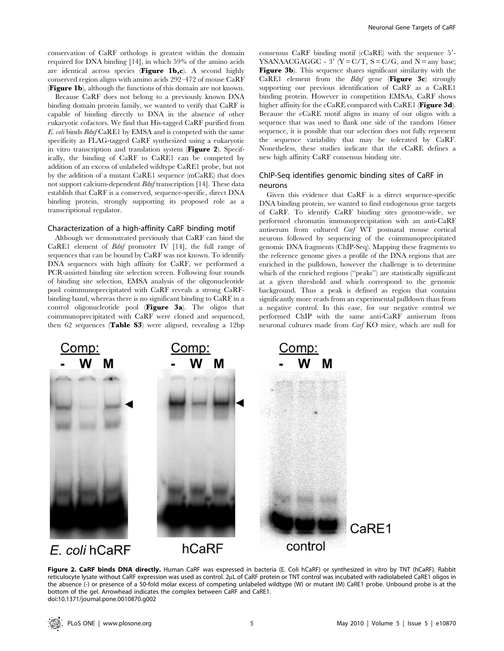conservation of CaRF orthologs is greatest within the domain required for DNA binding [14], in which 59% of the amino acids are identical across species (Figure 1b,c). A second highly conserved region aligns with amino acids 292–472 of mouse CaRF (Figure 1b), although the functions of this domain are not known.

Because CaRF does not belong to a previously known DNA binding domain protein family, we wanted to verify that CaRF is capable of binding directly to DNA in the absence of other eukaryotic cofactors. We find that His-tagged CaRF purified from E. coli binds Bdnf CaRE1 by EMSA and is competed with the same specificity as FLAG-tagged CaRF synthesized using a eukaryotic in vitro transcription and translation system (Figure 2). Specifically, the binding of CaRF to CaRE1 can be competed by addition of an excess of unlabeled wildtype CaRE1 probe, but not by the addition of a mutant CaRE1 sequence (mCaRE) that does not support calcium-dependent Bdnf transcription [14]. These data establish that CaRF is a conserved, sequence-specific, direct DNA binding protein, strongly supporting its proposed role as a transcriptional regulator.

### Characterization of a high-affinity CaRF binding motif

Although we demonstrated previously that CaRF can bind the CaRE1 element of Bdnf promoter IV [14], the full range of sequences that can be bound by CaRF was not known. To identify DNA sequences with high affinity for CaRF, we performed a PCR-assisted binding site selection screen. Following four rounds of binding site selection, EMSA analysis of the oligonucleotide pool coimmunoprecipitated with CaRF reveals a strong CaRFbinding band, whereas there is no significant binding to CaRF in a control oligonucleotide pool (Figure 3a). The oligos that coimmunoprecipitated with CaRF were cloned and sequenced, then 62 sequences (Table S3) were aligned, revealing a 12bp consensus CaRF binding motif  $(cCaRE)$  with the sequence  $5'$ -YSANAACGAGGC - 3' ( $Y = C/T$ ,  $S = C/G$ , and  $N =$ any base; Figure 3b). This sequence shares significant similarity with the CaRE1 element from the *Bdnf* gene (Figure 3c) strongly supporting our previous identification of CaRF as a CaRE1 binding protein. However in competition EMSAs, CaRF shows higher affinity for the cCaRE compared with CaRE1 (Figure 3d). Because the cCaRE motif aligns in many of our oligos with a sequence that was used to flank one side of the random 16mer sequence, it is possible that our selection does not fully represent the sequence variability that may be tolerated by CaRF. Nonetheless, these studies indicate that the cCaRE defines a new high affinity CaRF consensus binding site.

## ChIP-Seq identifies genomic binding sites of CaRF in neurons

Given this evidence that CaRF is a direct sequence-specific DNA binding protein, we wanted to find endogenous gene targets of CaRF. To identify CaRF binding sites genome-wide, we performed chromatin immunoprecipitation with an anti-CaRF antiserum from cultured Carf WT postnatal mouse cortical neurons followed by sequencing of the coimmunoprecipitated genomic DNA fragments (ChIP-Seq). Mapping these fragments to the reference genome gives a profile of the DNA regions that are enriched in the pulldown, however the challenge is to determine which of the enriched regions ("peaks") are statistically significant at a given threshold and which correspond to the genomic background. Thus a peak is defined as region that contains significantly more reads from an experimental pulldown than from a negative control. In this case, for our negative control we performed ChIP with the same anti-CaRF antiserum from neuronal cultures made from Carf KO mice, which are null for



Figure 2. CaRF binds DNA directly. Human CaRF was expressed in bacteria (E. Coli hCaRF) or synthesized in vitro by TNT (hCaRF). Rabbit reticulocyte lysate without CaRF expression was used as control. 2µL of CaRF protein or TNT control was incubated with radiolabeled CaRE1 oligos in the absence (-) or presence of a 50-fold molar excess of competing unlabeled wildtype (W) or mutant (M) CaRE1 probe. Unbound probe is at the bottom of the gel. Arrowhead indicates the complex between CaRF and CaRE1. doi:10.1371/journal.pone.0010870.g002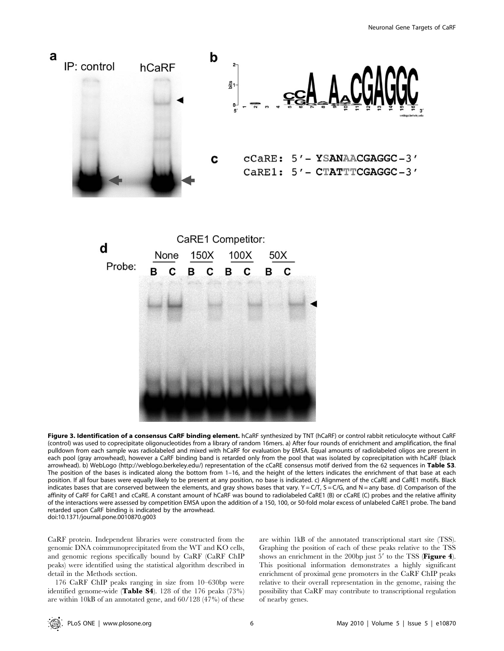

Figure 3. Identification of a consensus CaRF binding element. hCaRF synthesized by TNT (hCaRF) or control rabbit reticulocyte without CaRF (control) was used to coprecipitate oligonucleotides from a library of random 16mers. a) After four rounds of enrichment and amplification, the final pulldown from each sample was radiolabeled and mixed with hCaRF for evaluation by EMSA. Equal amounts of radiolabeled oligos are present in each pool (gray arrowhead), however a CaRF binding band is retarded only from the pool that was isolated by coprecipitation with hCaRF (black arrowhead). b) WebLogo (http://weblogo.berkeley.edu/) representation of the cCaRE consensus motif derived from the 62 sequences in Table S3. The position of the bases is indicated along the bottom from 1–16, and the height of the letters indicates the enrichment of that base at each position. If all four bases were equally likely to be present at any position, no base is indicated. c) Alignment of the cCaRE and CaRE1 motifs. Black indicates bases that are conserved between the elements, and gray shows bases that vary.  $Y = C/T$ ,  $S = C/G$ , and  $N =$  any base. d) Comparison of the affinity of CaRF for CaRE1 and cCaRE. A constant amount of hCaRF was bound to radiolabeled CaRE1 (B) or cCaRE (C) probes and the relative affinity of the interactions were assessed by competition EMSA upon the addition of a 150, 100, or 50-fold molar excess of unlabeled CaRE1 probe. The band retarded upon CaRF binding is indicated by the arrowhead. doi:10.1371/journal.pone.0010870.g003

CaRF protein. Independent libraries were constructed from the genomic DNA coimmunoprecipitated from the WT and KO cells, and genomic regions specifically bound by CaRF (CaRF ChIP peaks) were identified using the statistical algorithm described in detail in the Methods section.

176 CaRF ChIP peaks ranging in size from 10–630bp were identified genome-wide (Table S4). 128 of the 176 peaks  $(73\%)$ are within 10kB of an annotated gene, and 60/128 (47%) of these are within 1kB of the annotated transcriptional start site (TSS). Graphing the position of each of these peaks relative to the TSS shows an enrichment in the 200bp just  $5'$  to the TSS (**Figure 4**). This positional information demonstrates a highly significant enrichment of proximal gene promoters in the CaRF ChIP peaks relative to their overall representation in the genome, raising the possibility that CaRF may contribute to transcriptional regulation of nearby genes.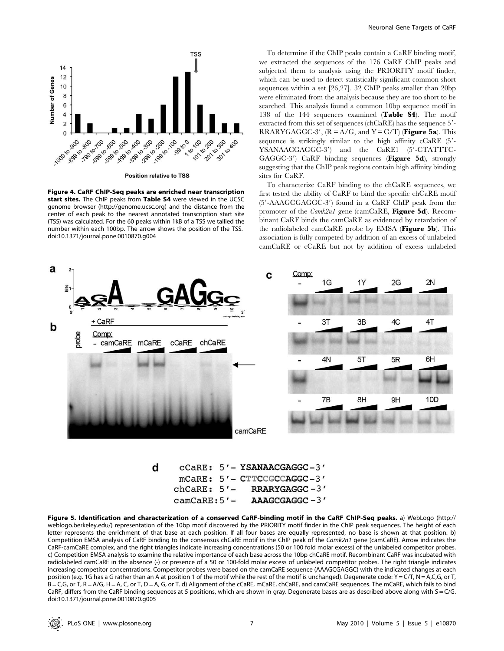

**Position relative to TSS** 

Figure 4. CaRF ChIP-Seq peaks are enriched near transcription start sites. The ChIP peaks from Table S4 were viewed in the UCSC genome browser (http://genome.ucsc.org) and the distance from the center of each peak to the nearest annotated transcription start site (TSS) was calculated. For the 60 peaks within 1kB of a TSS we tallied the number within each 100bp. The arrow shows the position of the TSS. doi:10.1371/journal.pone.0010870.g004

To determine if the ChIP peaks contain a CaRF binding motif, we extracted the sequences of the 176 CaRF ChIP peaks and subjected them to analysis using the PRIORITY motif finder, which can be used to detect statistically significant common short sequences within a set [26,27]. 32 ChIP peaks smaller than 20bp were eliminated from the analysis because they are too short to be searched. This analysis found a common 10bp sequence motif in 138 of the 144 sequences examined (Table S4). The motif extracted from this set of sequences (ch $CaRE$ ) has the sequence  $5'$ -RRARYGAGGC-3',  $(R = A/G,$  and  $Y = C/T$ ) (Figure 5a). This sequence is strikingly similar to the high affinity  $cCaRE$  (5'-YSANAACGAGGC-3') and the CaRE1 (5'-CTATTTC- $GAGGC-3'$ ) CaRF binding sequences (Figure 5d), strongly suggesting that the ChIP peak regions contain high affinity binding sites for CaRF.

To characterize CaRF binding to the chCaRE sequences, we first tested the ability of CaRF to bind the specific chCaRE motif (5'-AAAGCGAGGC-3') found in a CaRF ChIP peak from the promoter of the Camk2n1 gene (camCaRE, Figure 5d). Recombinant CaRF binds the camCaRE as evidenced by retardation of the radiolabeled camCaRE probe by EMSA (Figure 5b). This association is fully competed by addition of an excess of unlabeled camCaRE or cCaRE but not by addition of excess unlabeled



|  | $CCARE: 5 = ISMNALCGAGGC - 3$    |
|--|----------------------------------|
|  | $mCARE: 5' - CTTCCGCCAGGC-3'$    |
|  | RRARYGAGGC-3'                    |
|  | $AAAGCGAGGC - 3'$                |
|  | $chCaRE: 5'$ –<br>$camCARE:5'$ – |

Figure 5. Identification and characterization of a conserved CaRF-binding motif in the CaRF ChIP-Seq peaks. a) WebLogo (http:// weblogo.berkeley.edu/) representation of the 10bp motif discovered by the PRIORITY motif finder in the ChIP peak sequences. The height of each letter represents the enrichment of that base at each position. If all four bases are equally represented, no base is shown at that position. b) Competition EMSA analysis of CaRF binding to the consensus chCaRE motif in the ChIP peak of the Camk2n1 gene (camCaRE). Arrow indicates the CaRF-camCaRE complex, and the right triangles indicate increasing concentrations (50 or 100 fold molar excess) of the unlabeled competitor probes. c) Competition EMSA analysis to examine the relative importance of each base across the 10bp chCaRE motif. Recombinant CaRF was incubated with radiolabeled camCaRE in the absence (-) or presence of a 50 or 100-fold molar excess of unlabeled competitor probes. The right triangle indicates increasing competitor concentrations. Competitor probes were based on the camCaRE sequence (AAAGCGAGGC) with the indicated changes at each position (e.g. 1G has a G rather than an A at position 1 of the motif while the rest of the motif is unchanged). Degenerate code: Y = C/T, N = A,C,G, or T, B = C,G, or T, R = A/G, H = A, C, or T, D = A, G, or T. d) Alignment of the cCaRE, mCaRE, chCaRE, and camCaRE sequences. The mCaRE, which fails to bind CaRF, differs from the CaRF binding sequences at 5 positions, which are shown in gray. Degenerate bases are as described above along with  $S = C/G$ . doi:10.1371/journal.pone.0010870.g005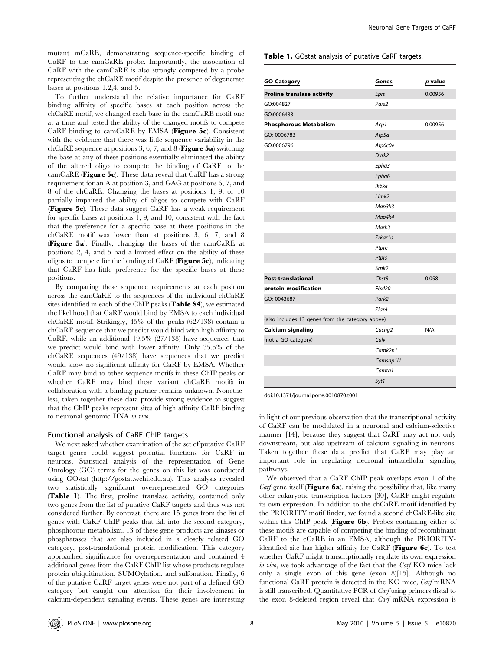mutant mCaRE, demonstrating sequence-specific binding of CaRF to the camCaRE probe. Importantly, the association of CaRF with the camCaRE is also strongly competed by a probe representing the chCaRE motif despite the presence of degenerate bases at positions 1,2,4, and 5.

To further understand the relative importance for CaRF binding affinity of specific bases at each position across the chCaRE motif, we changed each base in the camCaRE motif one at a time and tested the ability of the changed motifs to compete CaRF binding to camCaRE by EMSA (Figure 5c). Consistent with the evidence that there was little sequence variability in the chCaRE sequence at positions 3, 6, 7, and 8 (**Figure 5a**) switching the base at any of these positions essentially eliminated the ability of the altered oligo to compete the binding of CaRF to the camCaRE (Figure 5c). These data reveal that CaRF has a strong requirement for an A at position 3, and GAG at positions 6, 7, and 8 of the chCaRE. Changing the bases at positions 1, 9, or 10 partially impaired the ability of oligos to compete with CaRF (Figure 5c). These data suggest CaRF has a weak requirement for specific bases at positions 1, 9, and 10, consistent with the fact that the preference for a specific base at these positions in the chCaRE motif was lower than at positions 3, 6, 7, and 8 (Figure 5a). Finally, changing the bases of the camCaRE at positions 2, 4, and 5 had a limited effect on the ability of these oligos to compete for the binding of CaRF (Figure 5c), indicating that CaRF has little preference for the specific bases at these positions.

By comparing these sequence requirements at each position across the camCaRE to the sequences of the individual chCaRE sites identified in each of the ChIP peaks (Table S4), we estimated the likelihood that CaRF would bind by EMSA to each individual chCaRE motif. Strikingly, 45% of the peaks (62/138) contain a chCaRE sequence that we predict would bind with high affinity to CaRF, while an additional 19.5% (27/138) have sequences that we predict would bind with lower affinity. Only 35.5% of the chCaRE sequences (49/138) have sequences that we predict would show no significant affinity for CaRF by EMSA. Whether CaRF may bind to other sequence motifs in these ChIP peaks or whether CaRF may bind these variant chCaRE motifs in collaboration with a binding partner remains unknown. Nonetheless, taken together these data provide strong evidence to suggest that the ChIP peaks represent sites of high affinity CaRF binding to neuronal genomic DNA in vivo.

## Functional analysis of CaRF ChIP targets

We next asked whether examination of the set of putative CaRF target genes could suggest potential functions for CaRF in neurons. Statistical analysis of the representation of Gene Ontology (GO) terms for the genes on this list was conducted using GOstat (http://gostat.wehi.edu.au). This analysis revealed two statistically significant overrepresented GO categories (Table 1). The first, proline translase activity, contained only two genes from the list of putative CaRF targets and thus was not considered further. By contrast, there are 15 genes from the list of genes with CaRF ChIP peaks that fall into the second category, phosphorous metabolism. 13 of these gene products are kinases or phosphatases that are also included in a closely related GO category, post-translational protein modification. This category approached significance for overrepresentation and contained 4 additional genes from the CaRF ChIP list whose products regulate protein ubiquitination, SUMOylation, and sulfonation. Finally, 6 of the putative CaRF target genes were not part of a defined GO category but caught our attention for their involvement in calcium-dependent signaling events. These genes are interesting Table 1. GOstat analysis of putative CaRF targets.

| <b>GO Category</b>                               | Genes               | $p$ value |
|--------------------------------------------------|---------------------|-----------|
| <b>Proline translase activity</b>                | Eprs                | 0.00956   |
| GO:004827                                        | Pars <sub>2</sub>   |           |
| GO:0006433                                       |                     |           |
| <b>Phosphorous Metabolism</b>                    | Acp1                | 0.00956   |
| GO: 0006783                                      | Atp5d               |           |
| GO:0006796                                       | Atp6c0e             |           |
|                                                  | Dyrk2               |           |
|                                                  | Epha3               |           |
|                                                  | Epha6               |           |
|                                                  | Ikbke               |           |
|                                                  | Limk <sub>2</sub>   |           |
|                                                  | Map3k3              |           |
|                                                  | Map4k4              |           |
|                                                  | Mark3               |           |
|                                                  | Prkar <sub>1a</sub> |           |
|                                                  | Ptpre               |           |
|                                                  | Ptprs               |           |
|                                                  | Srpk2               |           |
| <b>Post-translational</b>                        | Chst8               | 0.058     |
| protein modification                             | Fbxl20              |           |
| GO: 0043687                                      | Park <sub>2</sub>   |           |
|                                                  | Pias4               |           |
| (also includes 13 genes from the category above) |                     |           |
| <b>Calcium signaling</b>                         | Cacng <sub>2</sub>  | N/A       |
| (not a GO category)                              | Caly                |           |
|                                                  | Camk2n1             |           |
|                                                  | Camsap111           |           |
|                                                  | Camta1              |           |
|                                                  | Syt1                |           |

doi:10.1371/journal.pone.0010870.t001

in light of our previous observation that the transcriptional activity of CaRF can be modulated in a neuronal and calcium-selective manner [14], because they suggest that CaRF may act not only downstream, but also upstream of calcium signaling in neurons. Taken together these data predict that CaRF may play an important role in regulating neuronal intracellular signaling pathways.

We observed that a CaRF ChIP peak overlaps exon 1 of the *Carf* gene itself (**Figure 6a**), raising the possibility that, like many other eukaryotic transcription factors [30], CaRF might regulate its own expression. In addition to the chCaRE motif identified by the PRIORITY motif finder, we found a second chCaRE-like site within this ChIP peak (Figure 6b). Probes containing either of these motifs are capable of competing the binding of recombinant CaRF to the cCaRE in an EMSA, although the PRIORITYidentified site has higher affinity for CaRF (Figure 6c). To test whether CaRF might transcriptionally regulate its own expression in vivo, we took advantage of the fact that the Carf KO mice lack only a single exon of this gene (exon 8)[15]. Although no functional CaRF protein is detected in the KO mice, Carf mRNA is still transcribed. Quantitative PCR of Carf using primers distal to the exon 8-deleted region reveal that Carf mRNA expression is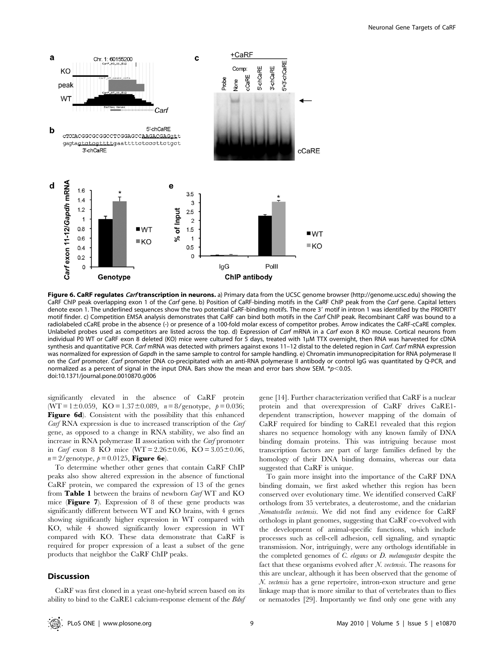

Figure 6. CaRF regulates Carf transcription in neurons. a) Primary data from the UCSC genome browser (http://genome.ucsc.edu) showing the CaRF ChIP peak overlapping exon 1 of the Carf gene. b) Position of CaRF-binding motifs in the CaRF ChIP peak from the Carf gene. Capital letters denote exon 1. The underlined sequences show the two potential CaRF-binding motifs. The more 3' motif in intron 1 was identified by the PRIORITY motif finder. c) Competition EMSA analysis demonstrates that CaRF can bind both motifs in the Carf ChIP peak. Recombinant CaRF was bound to a radiolabeled cCaRE probe in the absence (-) or presence of a 100-fold molar excess of competitor probes. Arrow indicates the CaRF-cCaRE complex. Unlabeled probes used as competitors are listed across the top. d) Expression of Carf mRNA in a Carf exon 8 KO mouse. Cortical neurons from individual P0 WT or CaRF exon 8 deleted (KO) mice were cultured for 5 days, treated with 1µM TTX overnight, then RNA was harvested for cDNA synthesis and quantitative PCR. Carf mRNA was detected with primers against exons 11-12 distal to the deleted region in Carf. Carf mRNA expression was normalized for expression of Gapdh in the same sample to control for sample handling. e) Chromatin immunoprecipitation for RNA polymerase II on the Carf promoter. Carf promoter DNA co-precipitated with an anti-RNA polymerase II antibody or control IgG was quantitated by Q-PCR, and normalized as a percent of signal in the input DNA. Bars show the mean and error bars show SEM. \* $p$ <0.05. doi:10.1371/journal.pone.0010870.g006

significantly elevated in the absence of CaRF protein (WT = 1±0.059, KO = 1.37±0.089,  $n = 8$ /genotype,  $p = 0.036$ ; Figure 6d). Consistent with the possibility that this enhanced Carf RNA expression is due to increased transcription of the Carf gene, as opposed to a change in RNA stability, we also find an increase in RNA polymerase II association with the Carf promoter in *Carf* exon 8 KO mice (WT =  $2.26 \pm 0.06$ , KO =  $3.05 \pm 0.06$ ,  $n = 2$ /genotype,  $p = 0.0125$ , **Figure 6e**).

To determine whether other genes that contain CaRF ChIP peaks also show altered expression in the absence of functional CaRF protein, we compared the expression of 13 of the genes from Table 1 between the brains of newborn Carf WT and KO mice (Figure 7). Expression of 8 of these gene products was significantly different between WT and KO brains, with 4 genes showing significantly higher expression in WT compared with KO, while 4 showed significantly lower expression in WT compared with KO. These data demonstrate that CaRF is required for proper expression of a least a subset of the gene products that neighbor the CaRF ChIP peaks.

#### **Discussion**

CaRF was first cloned in a yeast one-hybrid screen based on its ability to bind to the CaRE1 calcium-response element of the Bdnf gene [14]. Further characterization verified that CaRF is a nuclear protein and that overexpression of CaRF drives CaRE1 dependent transcription, however mapping of the domain of CaRF required for binding to CaRE1 revealed that this region shares no sequence homology with any known family of DNA binding domain proteins. This was intriguing because most transcription factors are part of large families defined by the homology of their DNA binding domains, whereas our data suggested that CaRF is unique.

To gain more insight into the importance of the CaRF DNA binding domain, we first asked whether this region has been conserved over evolutionary time. We identified conserved CaRF orthologs from 35 vertebrates, a deuterostome, and the cnidarian Nematostella vectensis. We did not find any evidence for CaRF orthologs in plant genomes, suggesting that CaRF co-evolved with the development of animal-specific functions, which include processes such as cell-cell adhesion, cell signaling, and synaptic transmission. Nor, intriguingly, were any orthologs identifiable in the completed genomes of C. elegans or D. melanogaster despite the fact that these organisms evolved after  $N$ . vectensis. The reasons for this are unclear, although it has been observed that the genome of N. vectensis has a gene repertoire, intron-exon structure and gene linkage map that is more similar to that of vertebrates than to flies or nematodes [29]. Importantly we find only one gene with any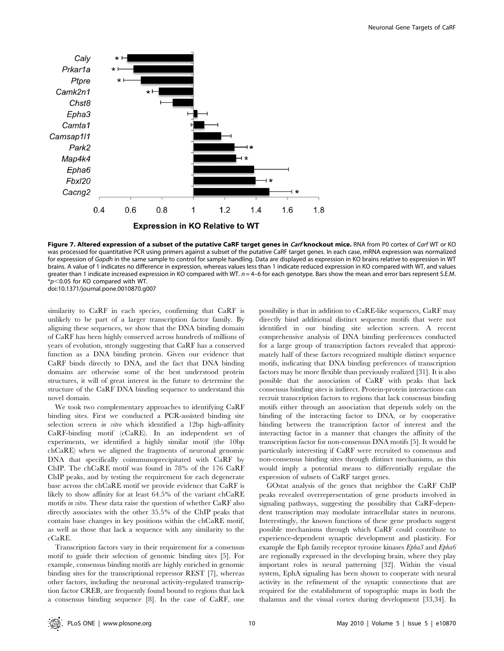

Figure 7. Altered expression of a subset of the putative CaRF target genes in Carf knockout mice. RNA from P0 cortex of Carf WT or KO was processed for quantitative PCR using primers against a subset of the putative CaRF target genes. In each case, mRNA expression was normalized for expression of Gapdh in the same sample to control for sample handling. Data are displayed as expression in KO brains relative to expression in WT brains. A value of 1 indicates no difference in expression, whereas values less than 1 indicate reduced expression in KO compared with WT, and values greater than 1 indicate increased expression in KO compared with WT.  $n = 4$ –6 for each genotype. Bars show the mean and error bars represent S.E.M.  $*p<$ 0.05 for KO compared with WT. doi:10.1371/journal.pone.0010870.g007

similarity to CaRF in each species, confirming that CaRF is unlikely to be part of a larger transcription factor family. By aligning these sequences, we show that the DNA binding domain of CaRF has been highly conserved across hundreds of millions of years of evolution, strongly suggesting that CaRF has a conserved function as a DNA binding protein. Given our evidence that CaRF binds directly to DNA, and the fact that DNA binding domains are otherwise some of the best understood protein structures, it will of great interest in the future to determine the structure of the CaRF DNA binding sequence to understand this novel domain.

We took two complementary approaches to identifying CaRF binding sites. First we conducted a PCR-assisted binding site selection screen in vitro which identified a 12bp high-affinity CaRF-binding motif (cCaRE). In an independent set of experiments, we identified a highly similar motif (the 10bp chCaRE) when we aligned the fragments of neuronal genomic DNA that specifically coimmunoprecipitated with CaRF by ChIP. The chCaRE motif was found in 78% of the 176 CaRF ChIP peaks, and by testing the requirement for each degenerate base across the chCaRE motif we provide evidence that CaRF is likely to show affinity for at least 64.5% of the variant chCaRE motifs in vitro. These data raise the question of whether CaRF also directly associates with the other 35.5% of the ChIP peaks that contain base changes in key positions within the chCaRE motif, as well as those that lack a sequence with any similarity to the cCaRE.

Transcription factors vary in their requirement for a consensus motif to guide their selection of genomic binding sites [5]. For example, consensus binding motifs are highly enriched in genomic binding sites for the transcriptional repressor REST [7], whereas other factors, including the neuronal activity-regulated transcription factor CREB, are frequently found bound to regions that lack a consensus binding sequence [8]. In the case of CaRF, one

possibility is that in addition to cCaRE-like sequences, CaRF may directly bind additional distinct sequence motifs that were not identified in our binding site selection screen. A recent comprehensive analysis of DNA binding preferences conducted for a large group of transcription factors revealed that approximately half of these factors recognized multiple distinct sequence motifs, indicating that DNA binding preferences of transcription factors may be more flexible than previously realized [31]. It is also possible that the association of CaRF with peaks that lack consensus binding sites is indirect. Protein-protein interactions can recruit transcription factors to regions that lack consensus binding motifs either through an association that depends solely on the binding of the interacting factor to DNA, or by cooperative binding between the transcription factor of interest and the interacting factor in a manner that changes the affinity of the transcription factor for non-consensus DNA motifs [5]. It would be particularly interesting if CaRF were recruited to consensus and non-consensus binding sites through distinct mechanisms, as this would imply a potential means to differentially regulate the expression of subsets of CaRF target genes.

GOstat analysis of the genes that neighbor the CaRF ChIP peaks revealed overrepresentation of gene products involved in signaling pathways, suggesting the possibility that CaRF-dependent transcription may modulate intracellular states in neurons. Interestingly, the known functions of these gene products suggest possible mechanisms through which CaRF could contribute to experience-dependent synaptic development and plasticity. For example the Eph family receptor tyrosine kinases Epha3 and Epha6 are regionally expressed in the developing brain, where they play important roles in neural patterning [32]. Within the visual system, EphA signaling has been shown to cooperate with neural activity in the refinement of the synaptic connections that are required for the establishment of topographic maps in both the thalamus and the visual cortex during development [33,34]. In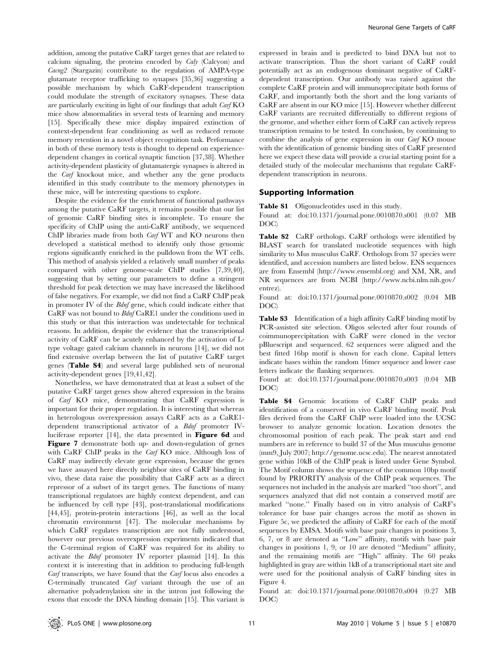addition, among the putative CaRF target genes that are related to calcium signaling, the proteins encoded by Caly (Calcyon) and Cacng2 (Stargazin) contribute to the regulation of AMPA-type glutamate receptor trafficking to synapses [35,36] suggesting a possible mechanism by which CaRF-dependent transcription could modulate the strength of excitatory synapses. These data are particularly exciting in light of our findings that adult Carf KO mice show abnormalities in several tests of learning and memory [15]. Specifically these mice display impaired extinction of context-dependent fear conditioning as well as reduced remote memory retention in a novel object recognition task. Performance in both of these memory tests is thought to depend on experiencedependent changes in cortical synaptic function [37,38]. Whether activity-dependent plasticity of glutamatergic synapses is altered in the Carf knockout mice, and whether any the gene products identified in this study contribute to the memory phenotypes in these mice, will be interesting questions to explore.

Despite the evidence for the enrichment of functional pathways among the putative CaRF targets, it remains possible that our list of genomic CaRF binding sites is incomplete. To ensure the specificity of ChIP using the anti-CaRF antibody, we sequenced ChIP libraries made from both Carf WT and KO neurons then developed a statistical method to identify only those genomic regions significantly enriched in the pulldown from the WT cells. This method of analysis yielded a relatively small number of peaks compared with other genome-scale ChIP studies [7,39,40], suggesting that by setting our parameters to define a stringent threshold for peak detection we may have increased the likelihood of false negatives. For example, we did not find a CaRF ChIP peak in promoter IV of the Bdnf gene, which could indicate either that CaRF was not bound to Bdnf CaRE1 under the conditions used in this study or that this interaction was undetectable for technical reasons. In addition, despite the evidence that the transcriptional activity of CaRF can be acutely enhanced by the activation of Ltype voltage gated calcium channels in neurons [14], we did not find extensive overlap between the list of putative CaRF target genes (Table S4) and several large published sets of neuronal activity-dependent genes [19,41,42].

Nonetheless, we have demonstrated that at least a subset of the putative CaRF target genes show altered expression in the brains of Carf KO mice, demonstrating that CaRF expression is important for their proper regulation. It is interesting that whereas in heterologous overexpression assays CaRF acts as a CaRE1 dependent transcriptional activator of a *Bdnf* promoter IVluciferase reporter [14], the data presented in Figure 6d and Figure 7 demonstrate both up- and down-regulation of genes with CaRF ChIP peaks in the *Carf* KO mice. Although loss of CaRF may indirectly elevate gene expression, because the genes we have assayed here directly neighbor sites of CaRF binding in vivo, these data raise the possibility that CaRF acts as a direct repressor of a subset of its target genes. The functions of many transcriptional regulators are highly context dependent, and can be influenced by cell type [43], post-translational modifications [44,45], protein-protein interactions [46], as well as the local chromatin environment [47]. The molecular mechanisms by which CaRF regulates transcription are not fully understood, however our previous overexpression experiments indicated that the C-terminal region of CaRF was required for its ability to activate the Bdnf promoter IV reporter plasmid [14]. In this context it is interesting that in addition to producing full-length Carf transcripts, we have found that the Carf locus also encodes a C-terminally truncated Carf variant through the use of an alternative polyadenylation site in the intron just following the exons that encode the DNA binding domain [15]. This variant is

expressed in brain and is predicted to bind DNA but not to activate transcription. Thus the short variant of CaRF could potentially act as an endogenous dominant negative of CaRFdependent transcription. Our antibody was raised against the complete CaRF protein and will immunoprecipitate both forms of CaRF, and importantly both the short and the long variants of CaRF are absent in our KO mice [15]. However whether different CaRF variants are recruited differentially to different regions of the genome, and whether either form of CaRF can actively repress transcription remains to be tested. In conclusion, by continuing to combine the analysis of gene expression in our Carf KO mouse with the identification of genomic binding sites of CaRF presented here we expect these data will provide a crucial starting point for a detailed study of the molecular mechanisms that regulate CaRFdependent transcription in neurons.

#### Supporting Information

Table S1 Oligonucleotides used in this study.

Found at: doi:10.1371/journal.pone.0010870.s001 (0.07 MB DOC)

Table S2 CaRF orthologs. CaRF orthologs were identified by BLAST search for translated nucleotide sequences with high similarity to Mus musculus CaRF. Orthologs from 37 species were identified, and accession numbers are listed below. ENS sequences are from Ensembl (http://www.ensembl.org) and XM, XR, and NR sequences are from NCBI (http://www.ncbi.nlm.nih.gov/ entrez).

Found at: doi:10.1371/journal.pone.0010870.s002 (0.04 MB DOC)

Table S3 Identification of a high affinity CaRF binding motif by PCR-assisted site selection. Oligos selected after four rounds of coimmunoprecipitation with CaRF were cloned in the vector pBluescript and sequenced. 62 sequences were aligned and the best fitted 16bp motif is shown for each clone. Capital letters indicate bases within the random 16mer sequence and lower case letters indicate the flanking sequences.

Found at: doi:10.1371/journal.pone.0010870.s003 (0.04 MB DOC)

Table S4 Genomic locations of CaRF ChIP peaks and identification of a conserved in vivo CaRF binding motif. Peak files derived from the CaRF ChIP were loaded into the UCSC browser to analyze genomic location. Location denotes the chromosomal position of each peak. The peak start and end numbers are in reference to build 37 of the Mus musculus genome (mm9, July 2007; http://genome.ucsc.edu). The nearest annotated gene within 10kB of the ChIP peak is listed under Gene Symbol. The Motif column shows the sequence of the common 10bp motif found by PRIORITY analysis of the ChIP peak sequences. The sequences not included in the analysis are marked ''too short'', and sequences analyzed that did not contain a conserved motif are marked ''none.'' Finally based on in vitro analysis of CaRF's tolerance for base pair changes across the motif as shown in Figure 5c, we predicted the affinity of CaRF for each of the motif sequences by EMSA. Motifs with base pair changes in positions 3, 6, 7, or 8 are denoted as ''Low'' affinity, motifs with base pair changes in positions 1, 9, or 10 are denoted ''Medium'' affinity, and the remaining motifs are ''High'' affinity. The 60 peaks highlighted in gray are within 1kB of a transcriptional start site and were used for the positional analysis of CaRF binding sites in Figure 4.

Found at: doi:10.1371/journal.pone.0010870.s004 (0.27 MB DOC)